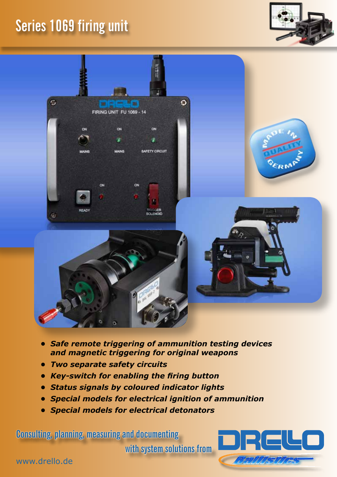## **Series 1069 firing unit**





- *• Safe remote triggering of ammunition testing devices and magnetic triggering for original weapons*
- *• Two separate safety circuits*
- *• Key-switch for enabling the firing button*
- *• Status signals by coloured indicator lights*
- *• Special models for electrical ignition of ammunition*
- *• Special models for electrical detonators*

**Consulting, planning, measuring and documenting with system solutions from**



www.drello.de